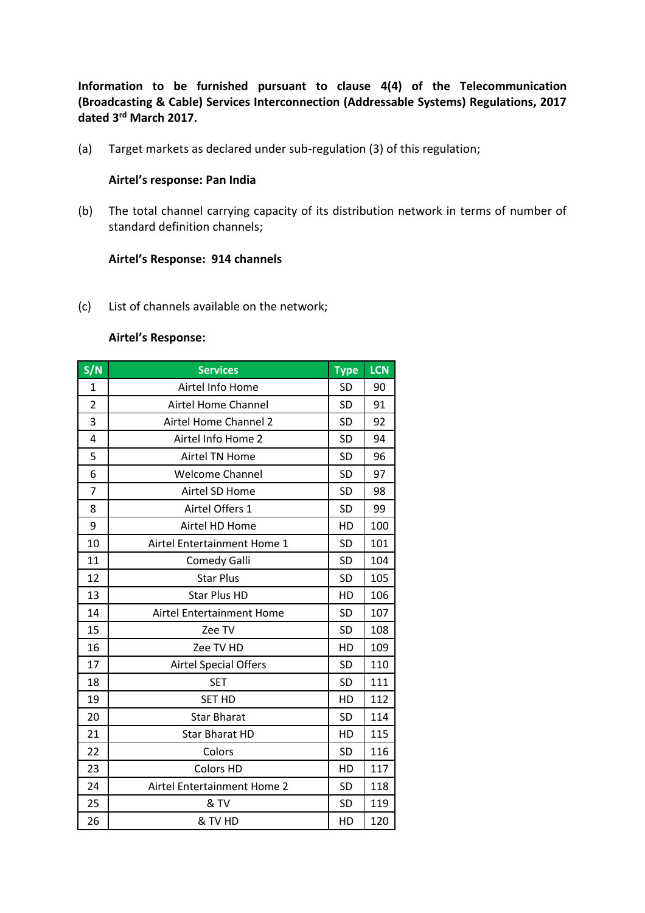**Information to be furnished pursuant to clause 4(4) of the Telecommunication (Broadcasting & Cable) Services Interconnection (Addressable Systems) Regulations, 2017 dated 3rd March 2017.**

(a) Target markets as declared under sub-regulation (3) of this regulation;

### **Airtel's response: Pan India**

(b) The total channel carrying capacity of its distribution network in terms of number of standard definition channels;

### **Airtel's Response: 914 channels**

(c) List of channels available on the network;

### **Airtel's Response:**

| S/N            | <b>Services</b>              | <b>Type</b> | <b>LCN</b> |
|----------------|------------------------------|-------------|------------|
| 1              | Airtel Info Home             | <b>SD</b>   | 90         |
| $\overline{2}$ | Airtel Home Channel          | <b>SD</b>   | 91         |
| 3              | Airtel Home Channel 2        | <b>SD</b>   | 92         |
| 4              | Airtel Info Home 2           | <b>SD</b>   | 94         |
| 5              | Airtel TN Home               | <b>SD</b>   | 96         |
| 6              | <b>Welcome Channel</b>       | <b>SD</b>   | 97         |
| 7              | Airtel SD Home               | <b>SD</b>   | 98         |
| 8              | Airtel Offers 1              | <b>SD</b>   | 99         |
| 9              | Airtel HD Home               | HD          | 100        |
| 10             | Airtel Entertainment Home 1  | SD          | 101        |
| 11             | Comedy Galli                 | <b>SD</b>   | 104        |
| 12             | <b>Star Plus</b>             | <b>SD</b>   | 105        |
| 13             | <b>Star Plus HD</b>          | HD          | 106        |
| 14             | Airtel Entertainment Home    | <b>SD</b>   | 107        |
| 15             | Zee TV                       | <b>SD</b>   | 108        |
| 16             | Zee TV HD                    | HD          | 109        |
| 17             | <b>Airtel Special Offers</b> | <b>SD</b>   | 110        |
| 18             | <b>SET</b>                   | <b>SD</b>   | 111        |
| 19             | <b>SET HD</b>                | HD          | 112        |
| 20             | <b>Star Bharat</b>           | <b>SD</b>   | 114        |
| 21             | <b>Star Bharat HD</b>        | HD          | 115        |
| 22             | Colors                       | <b>SD</b>   | 116        |
| 23             | <b>Colors HD</b>             | HD          | 117        |
| 24             | Airtel Entertainment Home 2  | <b>SD</b>   | 118        |
| 25             | & TV                         | <b>SD</b>   | 119        |
| 26             | & TV HD                      | HD          | 120        |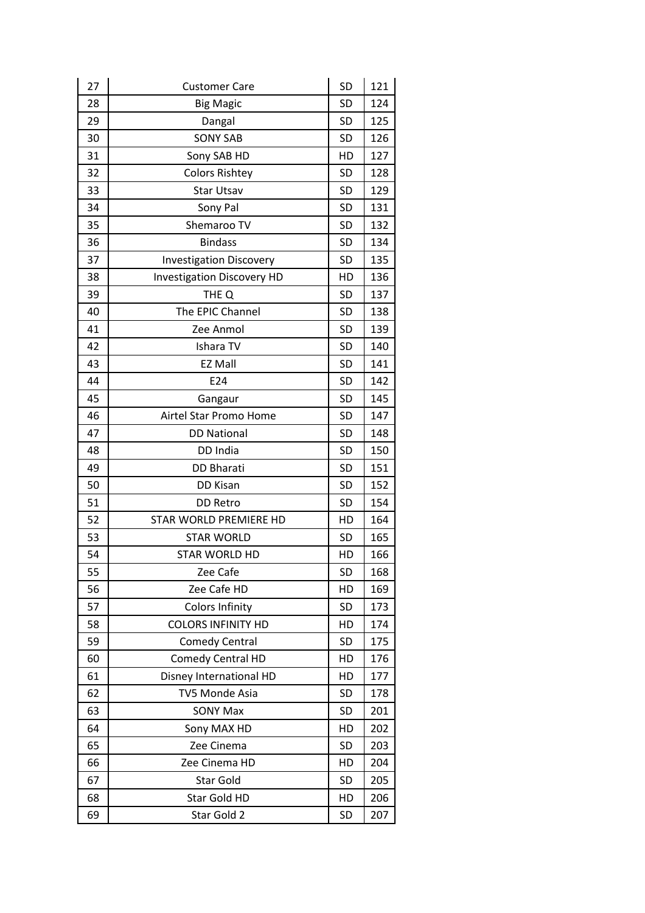| 27 | <b>Customer Care</b>              | <b>SD</b> | 121 |
|----|-----------------------------------|-----------|-----|
| 28 | <b>Big Magic</b>                  | <b>SD</b> | 124 |
| 29 | Dangal                            | SD        | 125 |
| 30 | <b>SONY SAB</b>                   | <b>SD</b> | 126 |
| 31 | Sony SAB HD                       | HD        | 127 |
| 32 | <b>Colors Rishtey</b>             | <b>SD</b> | 128 |
| 33 | <b>Star Utsav</b>                 | <b>SD</b> | 129 |
| 34 | Sony Pal                          | <b>SD</b> | 131 |
| 35 | Shemaroo TV                       | <b>SD</b> | 132 |
| 36 | <b>Bindass</b>                    | <b>SD</b> | 134 |
| 37 | <b>Investigation Discovery</b>    | <b>SD</b> | 135 |
| 38 | <b>Investigation Discovery HD</b> | HD        | 136 |
| 39 | THE Q                             | <b>SD</b> | 137 |
| 40 | The EPIC Channel                  | <b>SD</b> | 138 |
| 41 | Zee Anmol                         | <b>SD</b> | 139 |
| 42 | Ishara TV                         | <b>SD</b> | 140 |
| 43 | <b>EZ Mall</b>                    | <b>SD</b> | 141 |
| 44 | E24                               | <b>SD</b> | 142 |
| 45 | Gangaur                           | <b>SD</b> | 145 |
| 46 | Airtel Star Promo Home            | <b>SD</b> | 147 |
| 47 | <b>DD National</b>                | <b>SD</b> | 148 |
| 48 | DD India                          | <b>SD</b> | 150 |
| 49 | <b>DD Bharati</b>                 | <b>SD</b> | 151 |
| 50 | DD Kisan                          | <b>SD</b> | 152 |
| 51 | <b>DD Retro</b>                   | <b>SD</b> | 154 |
| 52 | STAR WORLD PREMIERE HD            | HD        | 164 |
| 53 | <b>STAR WORLD</b>                 | <b>SD</b> | 165 |
| 54 | <b>STAR WORLD HD</b>              | HD        | 166 |
| 55 | Zee Cafe                          | <b>SD</b> | 168 |
| 56 | Zee Cafe HD                       | HD        | 169 |
| 57 | <b>Colors Infinity</b>            | SD        | 173 |
| 58 | <b>COLORS INFINITY HD</b>         | HD        | 174 |
| 59 | <b>Comedy Central</b>             | SD        | 175 |
| 60 | Comedy Central HD                 | HD        | 176 |
| 61 | Disney International HD           | HD        | 177 |
| 62 | <b>TV5 Monde Asia</b>             | SD        | 178 |
| 63 | <b>SONY Max</b>                   | SD        | 201 |
| 64 | Sony MAX HD                       | HD        | 202 |
| 65 | Zee Cinema                        | SD        | 203 |
| 66 | Zee Cinema HD                     | HD        | 204 |
| 67 | Star Gold                         | SD        | 205 |
| 68 | Star Gold HD                      | HD        | 206 |
| 69 | Star Gold 2                       | SD        | 207 |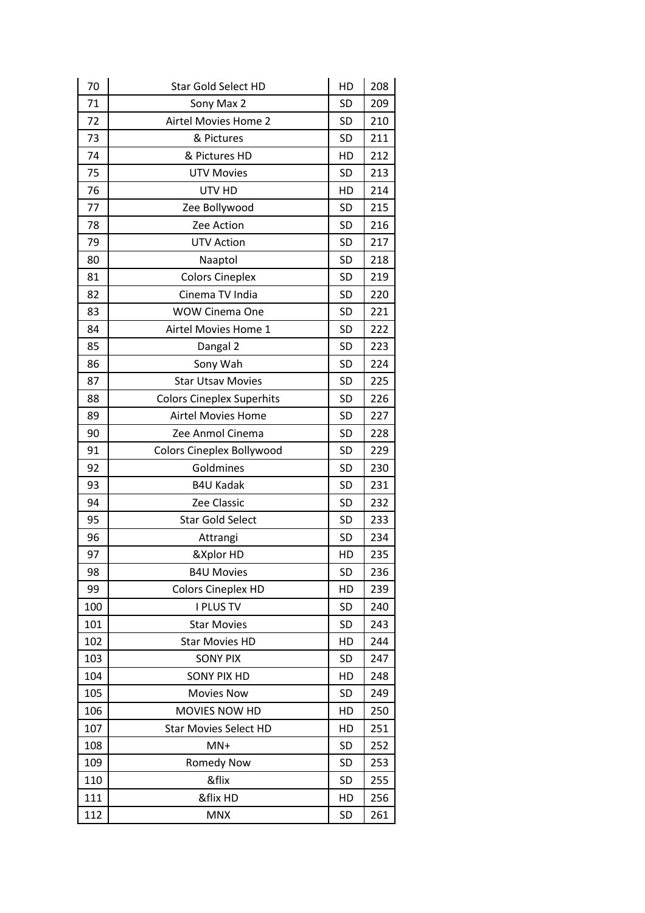| 70  | <b>Star Gold Select HD</b>       | HD        | 208 |
|-----|----------------------------------|-----------|-----|
| 71  | Sony Max 2                       | <b>SD</b> | 209 |
| 72  | Airtel Movies Home 2             | <b>SD</b> | 210 |
| 73  | & Pictures                       | <b>SD</b> | 211 |
| 74  | & Pictures HD                    | HD        | 212 |
| 75  | <b>UTV Movies</b>                | <b>SD</b> | 213 |
| 76  | UTV HD                           | HD        | 214 |
| 77  | Zee Bollywood                    | <b>SD</b> | 215 |
| 78  | Zee Action                       | <b>SD</b> | 216 |
| 79  | <b>UTV Action</b>                | SD        | 217 |
| 80  | Naaptol                          | <b>SD</b> | 218 |
| 81  | <b>Colors Cineplex</b>           | SD        | 219 |
| 82  | Cinema TV India                  | <b>SD</b> | 220 |
| 83  | <b>WOW Cinema One</b>            | <b>SD</b> | 221 |
| 84  | Airtel Movies Home 1             | SD        | 222 |
| 85  | Dangal 2                         | <b>SD</b> | 223 |
| 86  | Sony Wah                         | <b>SD</b> | 224 |
| 87  | <b>Star Utsav Movies</b>         | SD        | 225 |
| 88  | <b>Colors Cineplex Superhits</b> | <b>SD</b> | 226 |
| 89  | <b>Airtel Movies Home</b>        | <b>SD</b> | 227 |
| 90  | Zee Anmol Cinema                 | SD        | 228 |
| 91  | <b>Colors Cineplex Bollywood</b> | <b>SD</b> | 229 |
| 92  | Goldmines                        | <b>SD</b> | 230 |
| 93  | <b>B4U Kadak</b>                 | SD        | 231 |
| 94  | Zee Classic                      | <b>SD</b> | 232 |
| 95  | <b>Star Gold Select</b>          | <b>SD</b> | 233 |
| 96  | Attrangi                         | <b>SD</b> | 234 |
| 97  | &Xplor HD                        | HD        | 235 |
| 98  | <b>B4U Movies</b>                | <b>SD</b> | 236 |
| 99  | <b>Colors Cineplex HD</b>        | HD        | 239 |
| 100 | <b>I PLUS TV</b>                 | <b>SD</b> | 240 |
| 101 | <b>Star Movies</b>               | <b>SD</b> | 243 |
| 102 | <b>Star Movies HD</b>            | HD        | 244 |
| 103 | <b>SONY PIX</b>                  | <b>SD</b> | 247 |
| 104 | <b>SONY PIX HD</b>               | HD        | 248 |
| 105 | <b>Movies Now</b>                | <b>SD</b> | 249 |
| 106 | MOVIES NOW HD                    | HD        | 250 |
| 107 | <b>Star Movies Select HD</b>     | HD        | 251 |
| 108 | $MN+$                            | <b>SD</b> | 252 |
| 109 | <b>Romedy Now</b>                | SD        | 253 |
| 110 | &flix                            | <b>SD</b> | 255 |
| 111 | &flix HD                         | HD        | 256 |
| 112 | <b>MNX</b>                       | SD        | 261 |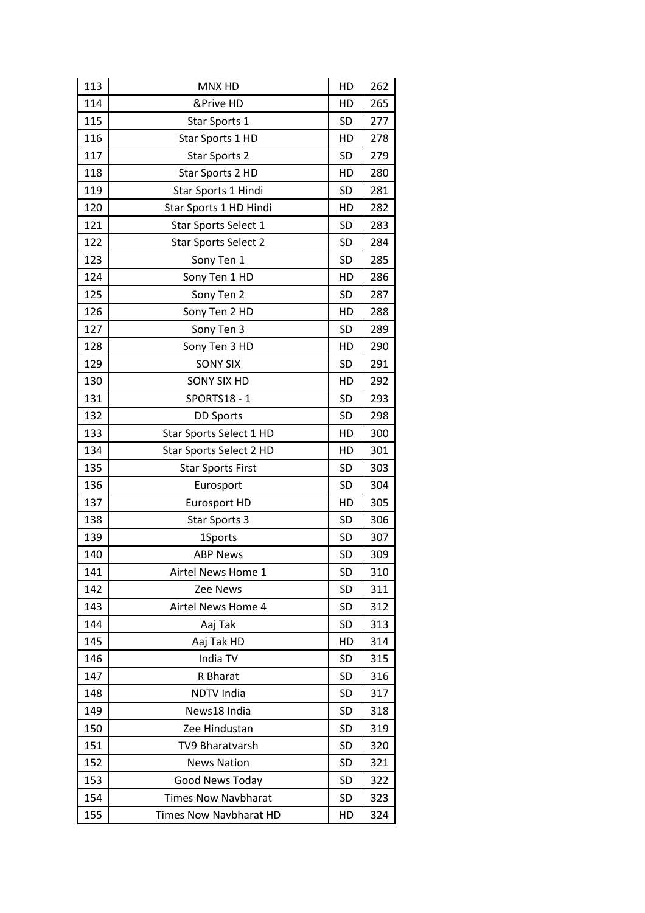| 113 | MNX HD                      | HD        | 262 |
|-----|-----------------------------|-----------|-----|
| 114 | &Prive HD                   | HD        | 265 |
| 115 | Star Sports 1               | <b>SD</b> | 277 |
| 116 | Star Sports 1 HD            | HD        | 278 |
| 117 | <b>Star Sports 2</b>        | <b>SD</b> | 279 |
| 118 | Star Sports 2 HD            | HD        | 280 |
| 119 | Star Sports 1 Hindi         | <b>SD</b> | 281 |
| 120 | Star Sports 1 HD Hindi      | HD        | 282 |
| 121 | Star Sports Select 1        | <b>SD</b> | 283 |
| 122 | <b>Star Sports Select 2</b> | <b>SD</b> | 284 |
| 123 | Sony Ten 1                  | <b>SD</b> | 285 |
| 124 | Sony Ten 1 HD               | HD        | 286 |
| 125 | Sony Ten 2                  | <b>SD</b> | 287 |
| 126 | Sony Ten 2 HD               | HD        | 288 |
| 127 | Sony Ten 3                  | <b>SD</b> | 289 |
| 128 | Sony Ten 3 HD               | HD        | 290 |
| 129 | <b>SONY SIX</b>             | <b>SD</b> | 291 |
| 130 | <b>SONY SIX HD</b>          | HD        | 292 |
| 131 | SPORTS18 - 1                | <b>SD</b> | 293 |
| 132 | <b>DD Sports</b>            | <b>SD</b> | 298 |
| 133 | Star Sports Select 1 HD     | HD        | 300 |
| 134 | Star Sports Select 2 HD     | HD        | 301 |
| 135 | <b>Star Sports First</b>    | <b>SD</b> | 303 |
| 136 | Eurosport                   | <b>SD</b> | 304 |
| 137 | Eurosport HD                | HD        | 305 |
| 138 | Star Sports 3               | <b>SD</b> | 306 |
| 139 | 1Sports                     | SD        | 307 |
| 140 | <b>ABP News</b>             | <b>SD</b> | 309 |
| 141 | Airtel News Home 1          | SD        | 310 |
| 142 | Zee News                    | <b>SD</b> | 311 |
| 143 | Airtel News Home 4          | <b>SD</b> | 312 |
| 144 | Aaj Tak                     | SD        | 313 |
| 145 | Aaj Tak HD                  | HD        | 314 |
| 146 | India TV                    | <b>SD</b> | 315 |
| 147 | R Bharat                    | SD        | 316 |
| 148 | <b>NDTV India</b>           | SD        | 317 |
| 149 | News18 India                | <b>SD</b> | 318 |
| 150 | Zee Hindustan               | SD        | 319 |
| 151 | TV9 Bharatvarsh             | SD        | 320 |
| 152 | <b>News Nation</b>          | <b>SD</b> | 321 |
| 153 | Good News Today             | SD        | 322 |
| 154 | <b>Times Now Navbharat</b>  | SD        | 323 |
| 155 | Times Now Navbharat HD      | HD        | 324 |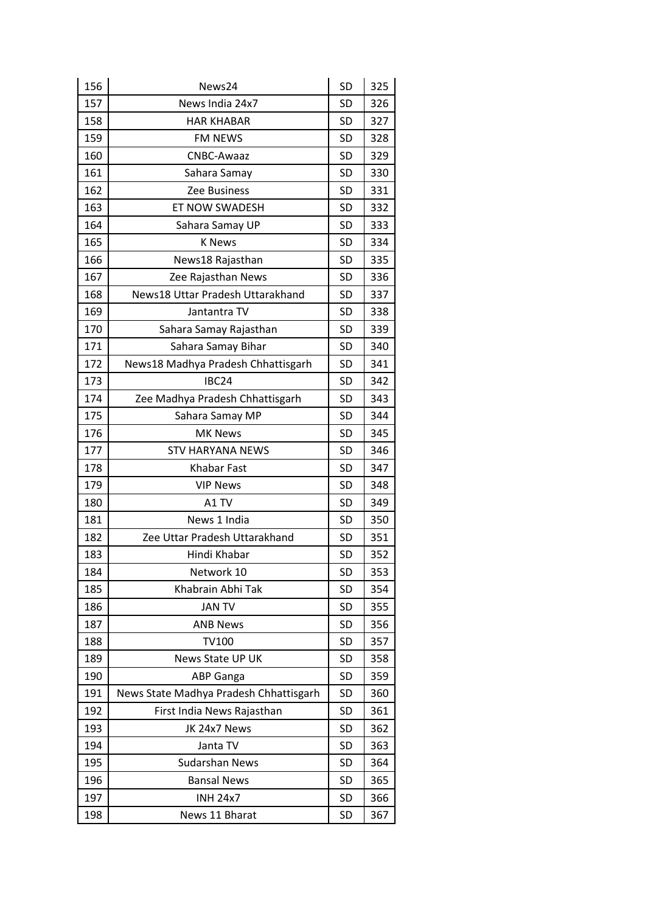| 156 | News24                                 | SD        | 325 |
|-----|----------------------------------------|-----------|-----|
| 157 | News India 24x7                        | SD        | 326 |
| 158 | <b>HAR KHABAR</b>                      | SD        | 327 |
| 159 | FM NEWS                                | <b>SD</b> | 328 |
| 160 | CNBC-Awaaz                             | SD        | 329 |
| 161 | Sahara Samay                           | SD        | 330 |
| 162 | Zee Business                           | <b>SD</b> | 331 |
| 163 | ET NOW SWADESH                         | SD        | 332 |
| 164 | Sahara Samay UP                        | <b>SD</b> | 333 |
| 165 | <b>K</b> News                          | <b>SD</b> | 334 |
| 166 | News18 Rajasthan                       | SD        | 335 |
| 167 | Zee Rajasthan News                     | SD        | 336 |
| 168 | News18 Uttar Pradesh Uttarakhand       | <b>SD</b> | 337 |
| 169 | Jantantra TV                           | SD        | 338 |
| 170 | Sahara Samay Rajasthan                 | SD        | 339 |
| 171 | Sahara Samay Bihar                     | <b>SD</b> | 340 |
| 172 | News18 Madhya Pradesh Chhattisgarh     | <b>SD</b> | 341 |
| 173 | IBC24                                  | SD        | 342 |
| 174 | Zee Madhya Pradesh Chhattisgarh        | <b>SD</b> | 343 |
| 175 | Sahara Samay MP                        | SD        | 344 |
| 176 | <b>MK News</b>                         | SD        | 345 |
| 177 | <b>STV HARYANA NEWS</b>                | <b>SD</b> | 346 |
| 178 | Khabar Fast                            | SD        | 347 |
| 179 | <b>VIP News</b>                        | SD        | 348 |
| 180 | A1 TV                                  | <b>SD</b> | 349 |
| 181 | News 1 India                           | <b>SD</b> | 350 |
| 182 | Zee Uttar Pradesh Uttarakhand          | SD        | 351 |
| 183 | Hindi Khabar                           | <b>SD</b> | 352 |
| 184 | Network 10                             | SD        | 353 |
| 185 | Khabrain Abhi Tak                      | <b>SD</b> | 354 |
| 186 | <b>JAN TV</b>                          | <b>SD</b> | 355 |
| 187 | <b>ANB News</b>                        | SD        | 356 |
| 188 | <b>TV100</b>                           | SD        | 357 |
| 189 | News State UP UK                       | SD        | 358 |
| 190 | <b>ABP Ganga</b>                       | SD        | 359 |
| 191 | News State Madhya Pradesh Chhattisgarh | SD        | 360 |
| 192 | First India News Rajasthan             | SD        | 361 |
| 193 | JK 24x7 News                           | SD        | 362 |
| 194 | Janta TV                               | SD        | 363 |
| 195 | <b>Sudarshan News</b>                  | <b>SD</b> | 364 |
| 196 | <b>Bansal News</b>                     | SD        | 365 |
| 197 | <b>INH 24x7</b>                        | SD        | 366 |
| 198 | News 11 Bharat                         | <b>SD</b> | 367 |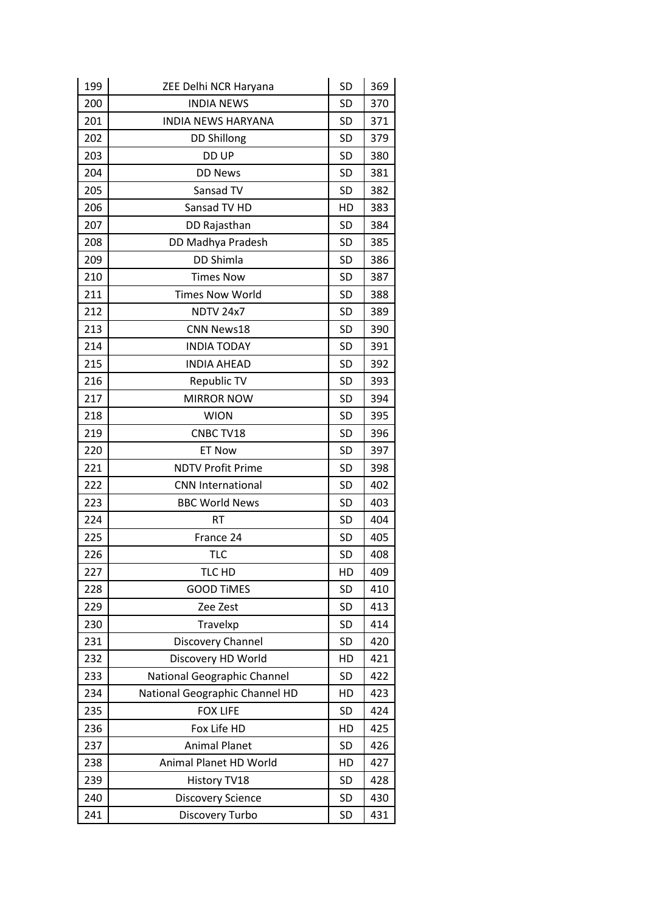| 199 | ZEE Delhi NCR Haryana          | SD        | 369 |
|-----|--------------------------------|-----------|-----|
| 200 | <b>INDIA NEWS</b>              | <b>SD</b> | 370 |
| 201 | <b>INDIA NEWS HARYANA</b>      | SD        | 371 |
| 202 | <b>DD Shillong</b>             | <b>SD</b> | 379 |
| 203 | DD UP                          | SD        | 380 |
| 204 | <b>DD News</b>                 | SD        | 381 |
| 205 | Sansad TV                      | <b>SD</b> | 382 |
| 206 | Sansad TV HD                   | HD        | 383 |
| 207 | DD Rajasthan                   | SD        | 384 |
| 208 | DD Madhya Pradesh              | <b>SD</b> | 385 |
| 209 | DD Shimla                      | <b>SD</b> | 386 |
| 210 | <b>Times Now</b>               | SD        | 387 |
| 211 | <b>Times Now World</b>         | SD        | 388 |
| 212 | <b>NDTV 24x7</b>               | <b>SD</b> | 389 |
| 213 | CNN News18                     | SD        | 390 |
| 214 | <b>INDIA TODAY</b>             | SD        | 391 |
| 215 | <b>INDIA AHEAD</b>             | <b>SD</b> | 392 |
| 216 | Republic TV                    | SD        | 393 |
| 217 | <b>MIRROR NOW</b>              | SD        | 394 |
| 218 | <b>WION</b>                    | <b>SD</b> | 395 |
| 219 | CNBC TV18                      | SD        | 396 |
| 220 | <b>ET Now</b>                  | SD        | 397 |
| 221 | <b>NDTV Profit Prime</b>       | <b>SD</b> | 398 |
| 222 | <b>CNN International</b>       | SD        | 402 |
| 223 | <b>BBC World News</b>          | SD        | 403 |
| 224 | <b>RT</b>                      | <b>SD</b> | 404 |
| 225 | France 24                      | SD        | 405 |
| 226 | <b>TLC</b>                     | SD        | 408 |
| 227 | TLC HD                         | HD        | 409 |
| 228 | <b>GOOD TIMES</b>              | <b>SD</b> | 410 |
| 229 | Zee Zest                       | <b>SD</b> | 413 |
| 230 | Travelxp                       | SD        | 414 |
| 231 | Discovery Channel              | SD        | 420 |
| 232 | Discovery HD World             | HD        | 421 |
| 233 | National Geographic Channel    | SD        | 422 |
| 234 | National Geographic Channel HD | HD        | 423 |
| 235 | <b>FOX LIFE</b>                | <b>SD</b> | 424 |
| 236 | Fox Life HD                    | HD        | 425 |
| 237 | <b>Animal Planet</b>           | SD        | 426 |
| 238 | Animal Planet HD World         | HD        | 427 |
| 239 | History TV18                   | <b>SD</b> | 428 |
| 240 | <b>Discovery Science</b>       | SD        | 430 |
| 241 | Discovery Turbo                | SD        | 431 |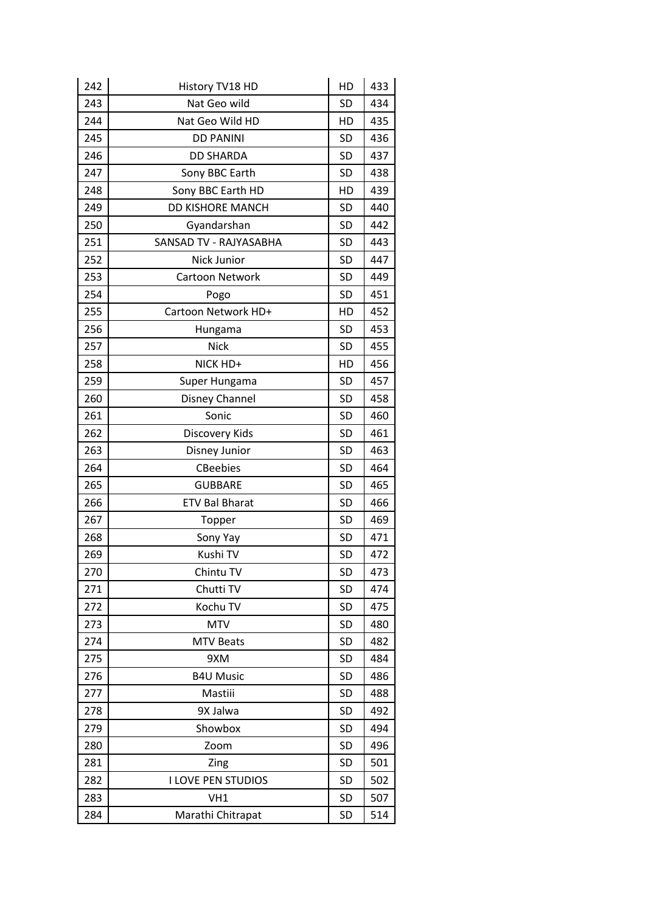| 242 | History TV18 HD           | HD        | 433 |
|-----|---------------------------|-----------|-----|
| 243 | Nat Geo wild              | SD        | 434 |
| 244 | Nat Geo Wild HD           | HD        | 435 |
| 245 | <b>DD PANINI</b>          | SD        | 436 |
| 246 | <b>DD SHARDA</b>          | <b>SD</b> | 437 |
| 247 | Sony BBC Earth            | <b>SD</b> | 438 |
| 248 | Sony BBC Earth HD         | HD        | 439 |
| 249 | <b>DD KISHORE MANCH</b>   | SD        | 440 |
| 250 | Gyandarshan               | <b>SD</b> | 442 |
| 251 | SANSAD TV - RAJYASABHA    | <b>SD</b> | 443 |
| 252 | Nick Junior               | SD        | 447 |
| 253 | Cartoon Network           | SD        | 449 |
| 254 | Pogo                      | <b>SD</b> | 451 |
| 255 | Cartoon Network HD+       | HD        | 452 |
| 256 | Hungama                   | SD        | 453 |
| 257 | <b>Nick</b>               | <b>SD</b> | 455 |
| 258 | NICK HD+                  | HD        | 456 |
| 259 | Super Hungama             | SD        | 457 |
| 260 | Disney Channel            | <b>SD</b> | 458 |
| 261 | Sonic                     | <b>SD</b> | 460 |
| 262 | Discovery Kids            | SD        | 461 |
| 263 | Disney Junior             | <b>SD</b> | 463 |
| 264 | <b>CBeebies</b>           | <b>SD</b> | 464 |
| 265 | <b>GUBBARE</b>            | SD        | 465 |
| 266 | <b>ETV Bal Bharat</b>     | <b>SD</b> | 466 |
| 267 | Topper                    | <b>SD</b> | 469 |
| 268 | Sony Yay                  | SD        | 471 |
| 269 | Kushi TV                  | <b>SD</b> | 472 |
| 270 | Chintu TV                 | SD        | 473 |
| 271 | Chutti TV                 | <b>SD</b> | 474 |
| 272 | Kochu TV                  | <b>SD</b> | 475 |
| 273 | <b>MTV</b>                | <b>SD</b> | 480 |
| 274 | <b>MTV Beats</b>          | <b>SD</b> | 482 |
| 275 | 9XM                       | <b>SD</b> | 484 |
| 276 | <b>B4U Music</b>          | SD        | 486 |
| 277 | Mastiii                   | <b>SD</b> | 488 |
| 278 | 9X Jalwa                  | <b>SD</b> | 492 |
| 279 | Showbox                   | <b>SD</b> | 494 |
| 280 | Zoom                      | <b>SD</b> | 496 |
| 281 | Zing                      | <b>SD</b> | 501 |
| 282 | <b>I LOVE PEN STUDIOS</b> | <b>SD</b> | 502 |
| 283 | VH1                       | <b>SD</b> | 507 |
| 284 | Marathi Chitrapat         | <b>SD</b> | 514 |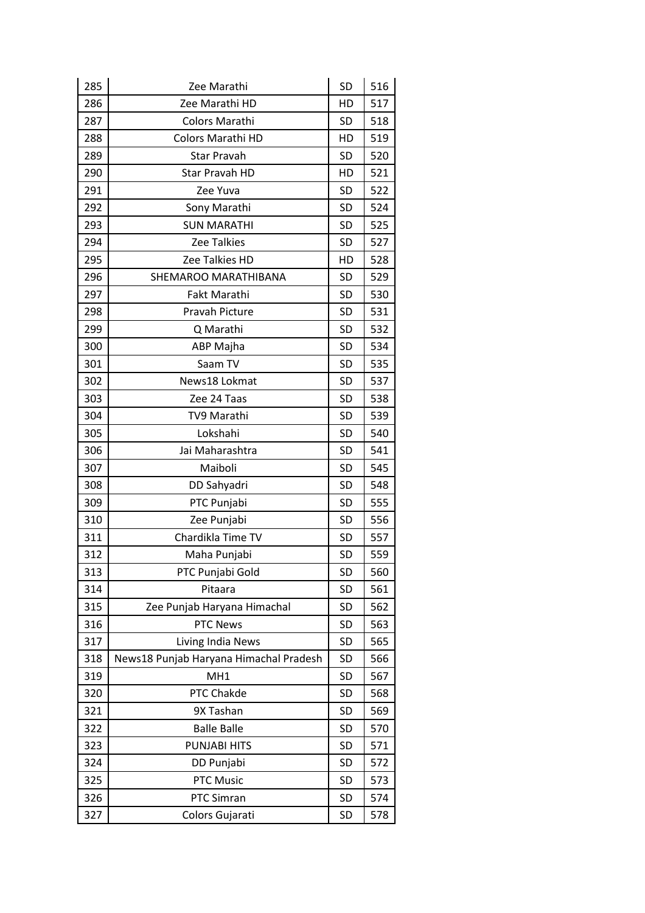| 285 | Zee Marathi                            | SD        | 516 |
|-----|----------------------------------------|-----------|-----|
| 286 | Zee Marathi HD                         | HD        | 517 |
| 287 | Colors Marathi                         | <b>SD</b> | 518 |
| 288 | <b>Colors Marathi HD</b>               | HD        | 519 |
| 289 | <b>Star Pravah</b>                     | <b>SD</b> | 520 |
| 290 | Star Pravah HD                         | HD        | 521 |
| 291 | Zee Yuva                               | <b>SD</b> | 522 |
| 292 | Sony Marathi                           | <b>SD</b> | 524 |
| 293 | <b>SUN MARATHI</b>                     | SD        | 525 |
| 294 | <b>Zee Talkies</b>                     | <b>SD</b> | 527 |
| 295 | Zee Talkies HD                         | HD        | 528 |
| 296 | SHEMAROO MARATHIBANA                   | <b>SD</b> | 529 |
| 297 | Fakt Marathi                           | <b>SD</b> | 530 |
| 298 | Pravah Picture                         | <b>SD</b> | 531 |
| 299 | Q Marathi                              | <b>SD</b> | 532 |
| 300 | ABP Majha                              | <b>SD</b> | 534 |
| 301 | Saam TV                                | <b>SD</b> | 535 |
| 302 | News18 Lokmat                          | <b>SD</b> | 537 |
| 303 | Zee 24 Taas                            | <b>SD</b> | 538 |
| 304 | TV9 Marathi                            | <b>SD</b> | 539 |
| 305 | Lokshahi                               | <b>SD</b> | 540 |
| 306 | Jai Maharashtra                        | <b>SD</b> | 541 |
| 307 | Maiboli                                | <b>SD</b> | 545 |
| 308 | DD Sahyadri                            | <b>SD</b> | 548 |
| 309 | PTC Punjabi                            | <b>SD</b> | 555 |
| 310 | Zee Punjabi                            | <b>SD</b> | 556 |
| 311 | Chardikla Time TV                      | <b>SD</b> | 557 |
| 312 | Maha Punjabi                           | SD        | 559 |
| 313 | PTC Punjabi Gold                       | SD        | 560 |
| 314 | Pitaara                                | SD        | 561 |
| 315 | Zee Punjab Haryana Himachal            | SD        | 562 |
| 316 | PTC News                               | <b>SD</b> | 563 |
| 317 | Living India News                      | <b>SD</b> | 565 |
| 318 | News18 Punjab Haryana Himachal Pradesh | SD        | 566 |
| 319 | MH <sub>1</sub>                        | <b>SD</b> | 567 |
| 320 | PTC Chakde                             | <b>SD</b> | 568 |
| 321 | 9X Tashan                              | <b>SD</b> | 569 |
| 322 | <b>Balle Balle</b>                     | <b>SD</b> | 570 |
| 323 | PUNJABI HITS                           | <b>SD</b> | 571 |
| 324 | DD Punjabi                             | SD        | 572 |
| 325 | PTC Music                              | <b>SD</b> | 573 |
| 326 | PTC Simran                             | <b>SD</b> | 574 |
| 327 | Colors Gujarati                        | SD        | 578 |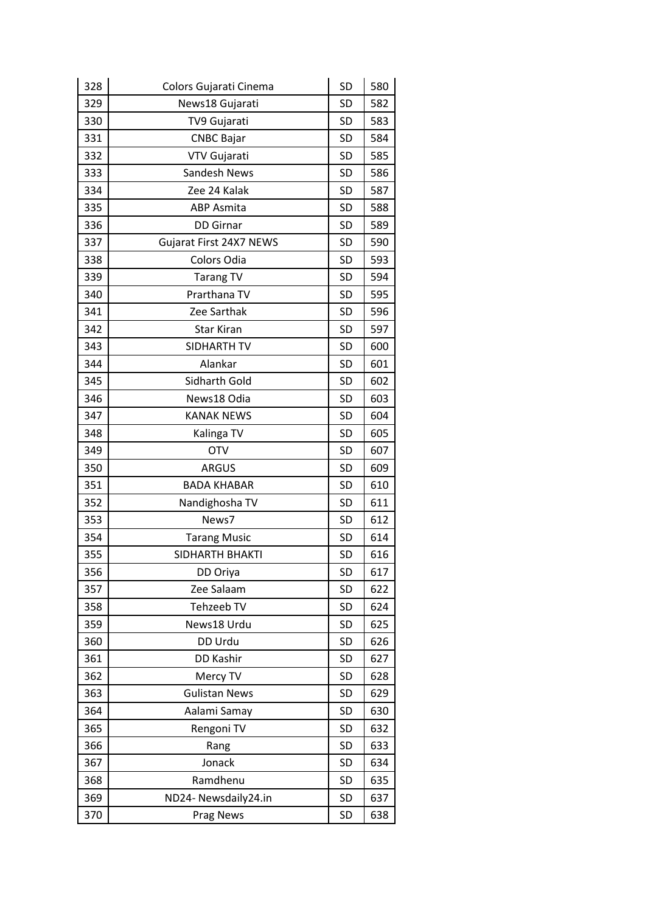| 328 | Colors Gujarati Cinema  | SD        | 580 |
|-----|-------------------------|-----------|-----|
| 329 | News18 Gujarati         | <b>SD</b> | 582 |
| 330 | TV9 Gujarati            | <b>SD</b> | 583 |
| 331 | <b>CNBC Bajar</b>       | SD        | 584 |
| 332 | VTV Gujarati            | <b>SD</b> | 585 |
| 333 | Sandesh News            | <b>SD</b> | 586 |
| 334 | Zee 24 Kalak            | <b>SD</b> | 587 |
| 335 | <b>ABP Asmita</b>       | <b>SD</b> | 588 |
| 336 | <b>DD Girnar</b>        | SD        | 589 |
| 337 | Gujarat First 24X7 NEWS | <b>SD</b> | 590 |
| 338 | Colors Odia             | <b>SD</b> | 593 |
| 339 | <b>Tarang TV</b>        | SD        | 594 |
| 340 | Prarthana TV            | <b>SD</b> | 595 |
| 341 | Zee Sarthak             | <b>SD</b> | 596 |
| 342 | <b>Star Kiran</b>       | SD        | 597 |
| 343 | SIDHARTH TV             | <b>SD</b> | 600 |
| 344 | Alankar                 | SD        | 601 |
| 345 | Sidharth Gold           | SD        | 602 |
| 346 | News18 Odia             | <b>SD</b> | 603 |
| 347 | <b>KANAK NEWS</b>       | SD        | 604 |
| 348 | Kalinga TV              | SD        | 605 |
| 349 | <b>OTV</b>              | <b>SD</b> | 607 |
| 350 | <b>ARGUS</b>            | SD        | 609 |
| 351 | <b>BADA KHABAR</b>      | SD        | 610 |
| 352 | Nandighosha TV          | <b>SD</b> | 611 |
| 353 | News7                   | SD        | 612 |
| 354 | <b>Tarang Music</b>     | SD        | 614 |
| 355 | <b>SIDHARTH BHAKTI</b>  | SD        | 616 |
| 356 | DD Oriya                | <b>SD</b> | 617 |
| 357 | Zee Salaam              | SD        | 622 |
| 358 | Tehzeeb TV              | SD        | 624 |
| 359 | News18 Urdu             | <b>SD</b> | 625 |
| 360 | DD Urdu                 | SD        | 626 |
| 361 | DD Kashir               | <b>SD</b> | 627 |
| 362 | Mercy TV                | <b>SD</b> | 628 |
| 363 | <b>Gulistan News</b>    | SD        | 629 |
| 364 | Aalami Samay            | SD        | 630 |
| 365 | Rengoni TV              | <b>SD</b> | 632 |
| 366 | Rang                    | SD        | 633 |
| 367 | Jonack                  | <b>SD</b> | 634 |
| 368 | Ramdhenu                | SD        | 635 |
| 369 | ND24- Newsdaily24.in    | SD        | 637 |
| 370 | <b>Prag News</b>        | <b>SD</b> | 638 |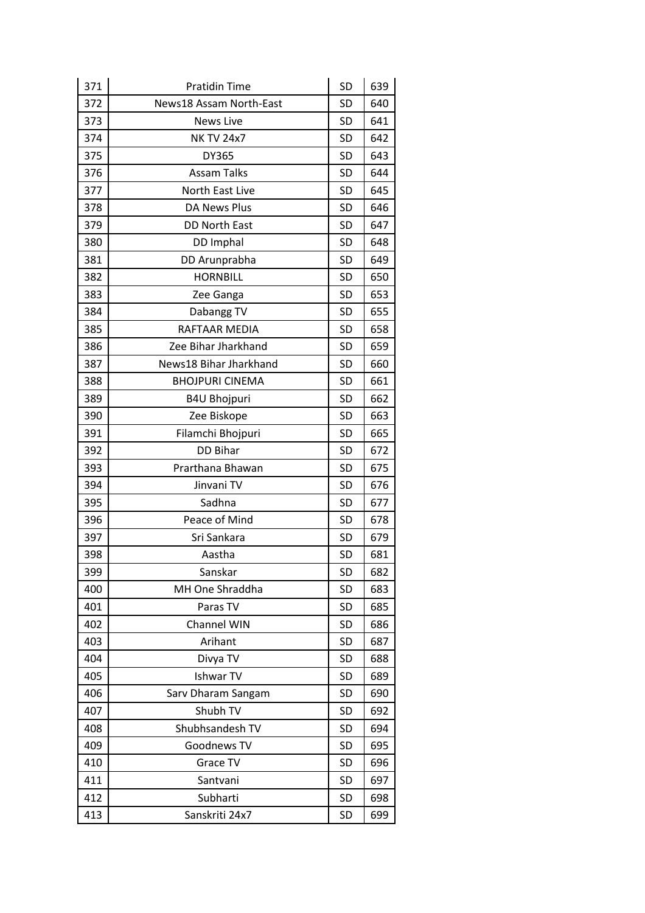| 371 | <b>Pratidin Time</b>    | <b>SD</b> | 639 |
|-----|-------------------------|-----------|-----|
| 372 | News18 Assam North-East | <b>SD</b> | 640 |
| 373 | <b>News Live</b>        | <b>SD</b> | 641 |
| 374 | <b>NK TV 24x7</b>       | SD        | 642 |
| 375 | DY365                   | <b>SD</b> | 643 |
| 376 | <b>Assam Talks</b>      | <b>SD</b> | 644 |
| 377 | North East Live         | SD        | 645 |
| 378 | DA News Plus            | <b>SD</b> | 646 |
| 379 | <b>DD North East</b>    | <b>SD</b> | 647 |
| 380 | DD Imphal               | SD        | 648 |
| 381 | DD Arunprabha           | <b>SD</b> | 649 |
| 382 | <b>HORNBILL</b>         | SD        | 650 |
| 383 | Zee Ganga               | <b>SD</b> | 653 |
| 384 | Dabangg TV              | <b>SD</b> | 655 |
| 385 | RAFTAAR MEDIA           | SD        | 658 |
| 386 | Zee Bihar Jharkhand     | <b>SD</b> | 659 |
| 387 | News18 Bihar Jharkhand  | <b>SD</b> | 660 |
| 388 | <b>BHOJPURI CINEMA</b>  | SD        | 661 |
| 389 | <b>B4U Bhojpuri</b>     | <b>SD</b> | 662 |
| 390 | Zee Biskope             | <b>SD</b> | 663 |
| 391 | Filamchi Bhojpuri       | SD        | 665 |
| 392 | <b>DD Bihar</b>         | <b>SD</b> | 672 |
| 393 | Prarthana Bhawan        | <b>SD</b> | 675 |
| 394 | Jinvani TV              | SD        | 676 |
| 395 | Sadhna                  | <b>SD</b> | 677 |
| 396 | Peace of Mind           | <b>SD</b> | 678 |
| 397 | Sri Sankara             | <b>SD</b> | 679 |
| 398 | Aastha                  | <b>SD</b> | 681 |
| 399 | Sanskar                 | <b>SD</b> | 682 |
| 400 | MH One Shraddha         | <b>SD</b> | 683 |
| 401 | Paras TV                | SD        | 685 |
| 402 | Channel WIN             | <b>SD</b> | 686 |
| 403 | Arihant                 | <b>SD</b> | 687 |
| 404 | Divya TV                | SD        | 688 |
| 405 | Ishwar TV               | <b>SD</b> | 689 |
| 406 | Sarv Dharam Sangam      | <b>SD</b> | 690 |
| 407 | Shubh TV                | SD        | 692 |
| 408 | Shubhsandesh TV         | <b>SD</b> | 694 |
| 409 | Goodnews TV             | <b>SD</b> | 695 |
| 410 | Grace TV                | SD        | 696 |
| 411 | Santvani                | <b>SD</b> | 697 |
| 412 | Subharti                | SD        | 698 |
| 413 | Sanskriti 24x7          | SD        | 699 |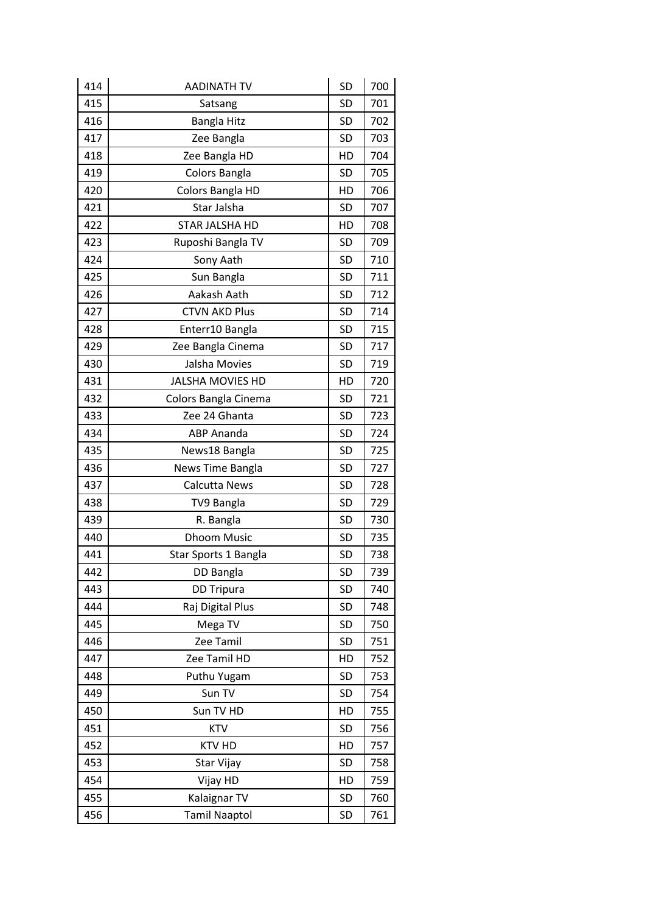| 414 | <b>AADINATH TV</b>      | SD        | 700 |
|-----|-------------------------|-----------|-----|
| 415 | Satsang                 | <b>SD</b> | 701 |
| 416 | <b>Bangla Hitz</b>      | SD        | 702 |
| 417 | Zee Bangla              | SD        | 703 |
| 418 | Zee Bangla HD           | HD        | 704 |
| 419 | Colors Bangla           | SD        | 705 |
| 420 | Colors Bangla HD        | HD        | 706 |
| 421 | Star Jalsha             | <b>SD</b> | 707 |
| 422 | STAR JALSHA HD          | HD        | 708 |
| 423 | Ruposhi Bangla TV       | SD        | 709 |
| 424 | Sony Aath               | <b>SD</b> | 710 |
| 425 | Sun Bangla              | SD        | 711 |
| 426 | Aakash Aath             | SD        | 712 |
| 427 | <b>CTVN AKD Plus</b>    | <b>SD</b> | 714 |
| 428 | Enterr10 Bangla         | SD        | 715 |
| 429 | Zee Bangla Cinema       | SD        | 717 |
| 430 | Jalsha Movies           | <b>SD</b> | 719 |
| 431 | <b>JALSHA MOVIES HD</b> | HD        | 720 |
| 432 | Colors Bangla Cinema    | SD        | 721 |
| 433 | Zee 24 Ghanta           | <b>SD</b> | 723 |
| 434 | <b>ABP Ananda</b>       | SD        | 724 |
| 435 | News18 Bangla           | SD        | 725 |
| 436 | News Time Bangla        | <b>SD</b> | 727 |
| 437 | Calcutta News           | SD        | 728 |
| 438 | TV9 Bangla              | SD        | 729 |
| 439 | R. Bangla               | <b>SD</b> | 730 |
| 440 | <b>Dhoom Music</b>      | SD        | 735 |
| 441 | Star Sports 1 Bangla    | <b>SD</b> | 738 |
| 442 | DD Bangla               | <b>SD</b> | 739 |
| 443 | <b>DD Tripura</b>       | SD        | 740 |
| 444 | Raj Digital Plus        | SD        | 748 |
| 445 | Mega TV                 | <b>SD</b> | 750 |
| 446 | Zee Tamil               | SD        | 751 |
| 447 | Zee Tamil HD            | HD        | 752 |
| 448 | Puthu Yugam             | <b>SD</b> | 753 |
| 449 | Sun TV                  | <b>SD</b> | 754 |
| 450 | Sun TV HD               | HD        | 755 |
| 451 | <b>KTV</b>              | <b>SD</b> | 756 |
| 452 | <b>KTV HD</b>           | HD        | 757 |
| 453 | Star Vijay              | <b>SD</b> | 758 |
| 454 | Vijay HD                | HD        | 759 |
| 455 | Kalaignar TV            | SD        | 760 |
| 456 | <b>Tamil Naaptol</b>    | SD        | 761 |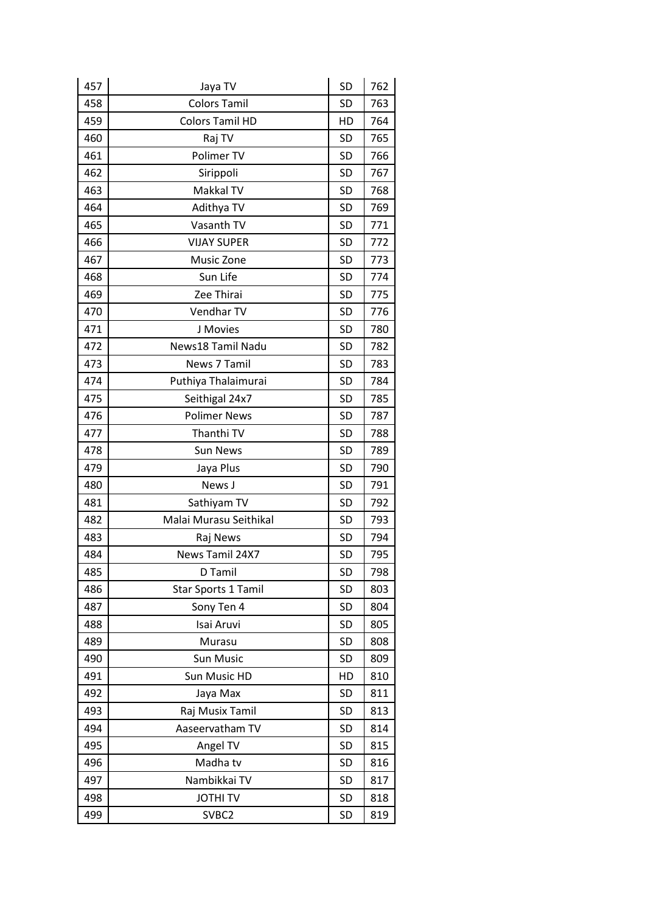| 457 | Jaya TV                    | <b>SD</b> | 762 |
|-----|----------------------------|-----------|-----|
| 458 | <b>Colors Tamil</b>        | SD        | 763 |
| 459 | <b>Colors Tamil HD</b>     | HD        | 764 |
| 460 | Raj TV                     | <b>SD</b> | 765 |
| 461 | Polimer TV                 | <b>SD</b> | 766 |
| 462 | Sirippoli                  | <b>SD</b> | 767 |
| 463 | Makkal TV                  | <b>SD</b> | 768 |
| 464 | Adithya TV                 | SD        | 769 |
| 465 | Vasanth TV                 | <b>SD</b> | 771 |
| 466 | <b>VIJAY SUPER</b>         | <b>SD</b> | 772 |
| 467 | Music Zone                 | SD        | 773 |
| 468 | Sun Life                   | <b>SD</b> | 774 |
| 469 | Zee Thirai                 | <b>SD</b> | 775 |
| 470 | Vendhar TV                 | <b>SD</b> | 776 |
| 471 | J Movies                   | <b>SD</b> | 780 |
| 472 | News18 Tamil Nadu          | <b>SD</b> | 782 |
| 473 | News 7 Tamil               | <b>SD</b> | 783 |
| 474 | Puthiya Thalaimurai        | <b>SD</b> | 784 |
| 475 | Seithigal 24x7             | <b>SD</b> | 785 |
| 476 | <b>Polimer News</b>        | <b>SD</b> | 787 |
| 477 | Thanthi TV                 | <b>SD</b> | 788 |
| 478 | <b>Sun News</b>            | <b>SD</b> | 789 |
| 479 | Jaya Plus                  | <b>SD</b> | 790 |
| 480 | News J                     | <b>SD</b> | 791 |
| 481 | Sathiyam TV                | <b>SD</b> | 792 |
| 482 | Malai Murasu Seithikal     | <b>SD</b> | 793 |
| 483 | Raj News                   | <b>SD</b> | 794 |
| 484 | News Tamil 24X7            | <b>SD</b> | 795 |
| 485 | D Tamil                    | SD        | 798 |
| 486 | <b>Star Sports 1 Tamil</b> | <b>SD</b> | 803 |
| 487 | Sony Ten 4                 | <b>SD</b> | 804 |
| 488 | Isai Aruvi                 | SD        | 805 |
| 489 | Murasu                     | <b>SD</b> | 808 |
| 490 | <b>Sun Music</b>           | <b>SD</b> | 809 |
| 491 | Sun Music HD               | HD        | 810 |
| 492 | Jaya Max                   | SD        | 811 |
| 493 | Raj Musix Tamil            | SD        | 813 |
| 494 | Aaseervatham TV            | SD        | 814 |
| 495 | Angel TV                   | <b>SD</b> | 815 |
| 496 | Madha tv                   | <b>SD</b> | 816 |
| 497 | Nambikkai TV               | SD        | 817 |
| 498 | <b>JOTHITV</b>             | SD        | 818 |
| 499 | SVBC <sub>2</sub>          | <b>SD</b> | 819 |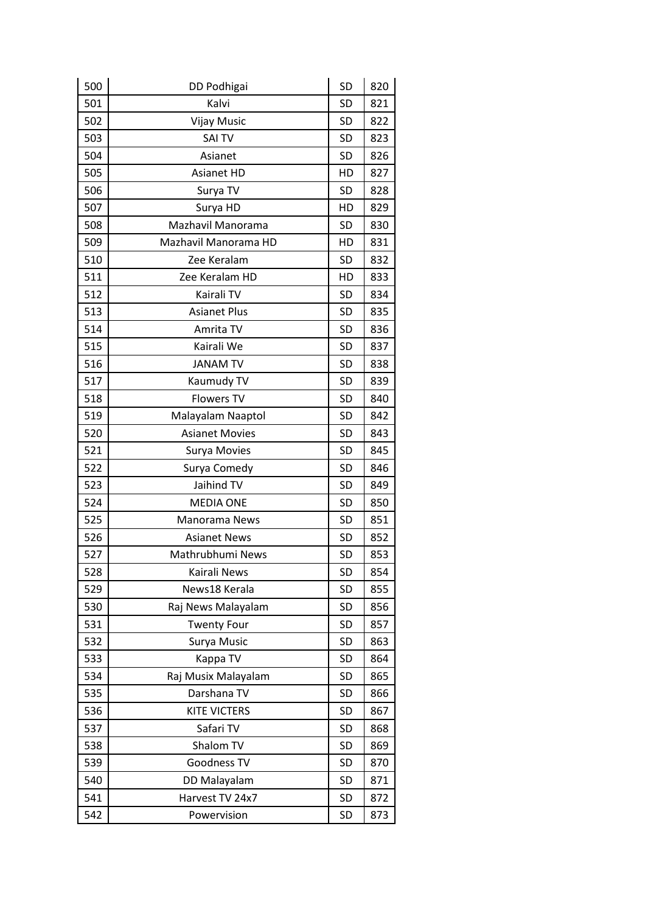| 500 | DD Podhigai           | <b>SD</b> | 820 |
|-----|-----------------------|-----------|-----|
| 501 | Kalvi                 | <b>SD</b> | 821 |
| 502 | <b>Vijay Music</b>    | <b>SD</b> | 822 |
| 503 | <b>SAI TV</b>         | <b>SD</b> | 823 |
| 504 | Asianet               | <b>SD</b> | 826 |
| 505 | <b>Asianet HD</b>     | HD        | 827 |
| 506 | Surya TV              | <b>SD</b> | 828 |
| 507 | Surya HD              | HD        | 829 |
| 508 | Mazhavil Manorama     | <b>SD</b> | 830 |
| 509 | Mazhavil Manorama HD  | HD        | 831 |
| 510 | Zee Keralam           | <b>SD</b> | 832 |
| 511 | Zee Keralam HD        | HD        | 833 |
| 512 | Kairali TV            | <b>SD</b> | 834 |
| 513 | <b>Asianet Plus</b>   | SD        | 835 |
| 514 | Amrita TV             | <b>SD</b> | 836 |
| 515 | Kairali We            | <b>SD</b> | 837 |
| 516 | <b>JANAM TV</b>       | <b>SD</b> | 838 |
| 517 | Kaumudy TV            | <b>SD</b> | 839 |
| 518 | <b>Flowers TV</b>     | <b>SD</b> | 840 |
| 519 | Malayalam Naaptol     | <b>SD</b> | 842 |
| 520 | <b>Asianet Movies</b> | <b>SD</b> | 843 |
| 521 | Surya Movies          | <b>SD</b> | 845 |
| 522 | Surya Comedy          | <b>SD</b> | 846 |
| 523 | Jaihind TV            | <b>SD</b> | 849 |
| 524 | <b>MEDIA ONE</b>      | <b>SD</b> | 850 |
| 525 | Manorama News         | <b>SD</b> | 851 |
| 526 | <b>Asianet News</b>   | <b>SD</b> | 852 |
| 527 | Mathrubhumi News      | <b>SD</b> | 853 |
| 528 | Kairali News          | <b>SD</b> | 854 |
| 529 | News18 Kerala         | <b>SD</b> | 855 |
| 530 | Raj News Malayalam    | <b>SD</b> | 856 |
| 531 | <b>Twenty Four</b>    | SD        | 857 |
| 532 | Surya Music           | <b>SD</b> | 863 |
| 533 | Kappa TV              | <b>SD</b> | 864 |
| 534 | Raj Musix Malayalam   | SD        | 865 |
| 535 | Darshana TV           | <b>SD</b> | 866 |
| 536 | <b>KITE VICTERS</b>   | <b>SD</b> | 867 |
| 537 | Safari TV             | SD        | 868 |
| 538 | Shalom TV             | SD        | 869 |
| 539 | Goodness TV           | SD        | 870 |
| 540 | DD Malayalam          | SD        | 871 |
| 541 | Harvest TV 24x7       | <b>SD</b> | 872 |
| 542 | Powervision           | SD        | 873 |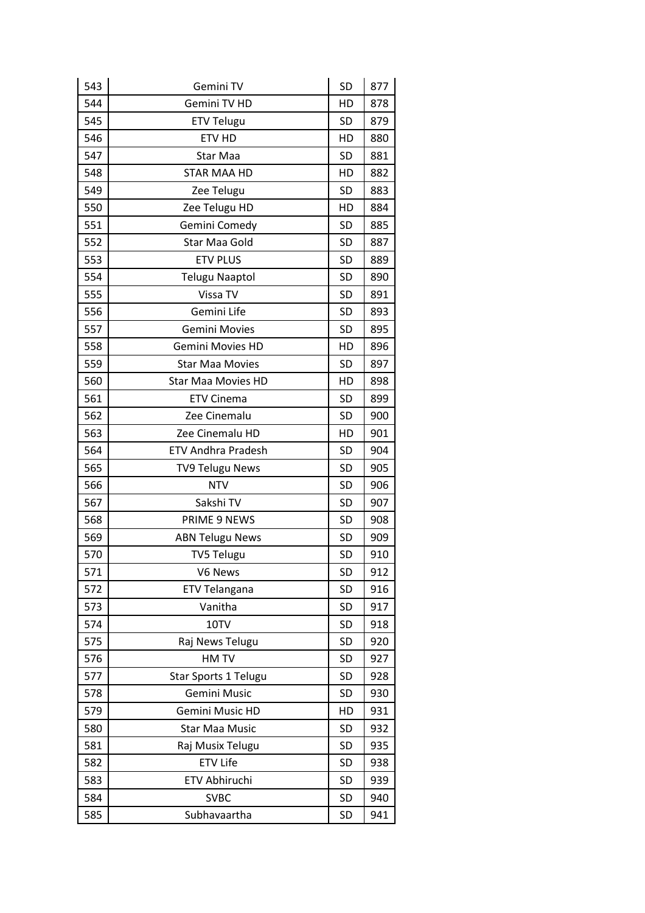| 543 | Gemini TV                 | SD        | 877 |
|-----|---------------------------|-----------|-----|
| 544 | Gemini TV HD              | HD        | 878 |
| 545 | <b>ETV Telugu</b>         | <b>SD</b> | 879 |
| 546 | ETV HD                    | HD        | 880 |
| 547 | Star Maa                  | <b>SD</b> | 881 |
| 548 | <b>STAR MAA HD</b>        | HD        | 882 |
| 549 | Zee Telugu                | <b>SD</b> | 883 |
| 550 | Zee Telugu HD             | HD        | 884 |
| 551 | Gemini Comedy             | <b>SD</b> | 885 |
| 552 | Star Maa Gold             | SD        | 887 |
| 553 | <b>ETV PLUS</b>           | <b>SD</b> | 889 |
| 554 | <b>Telugu Naaptol</b>     | <b>SD</b> | 890 |
| 555 | Vissa TV                  | SD        | 891 |
| 556 | Gemini Life               | <b>SD</b> | 893 |
| 557 | <b>Gemini Movies</b>      | <b>SD</b> | 895 |
| 558 | <b>Gemini Movies HD</b>   | HD        | 896 |
| 559 | <b>Star Maa Movies</b>    | <b>SD</b> | 897 |
| 560 | <b>Star Maa Movies HD</b> | HD        | 898 |
| 561 | <b>ETV Cinema</b>         | <b>SD</b> | 899 |
| 562 | Zee Cinemalu              | <b>SD</b> | 900 |
| 563 | Zee Cinemalu HD           | HD        | 901 |
| 564 | <b>ETV Andhra Pradesh</b> | <b>SD</b> | 904 |
| 565 | <b>TV9 Telugu News</b>    | <b>SD</b> | 905 |
| 566 | <b>NTV</b>                | <b>SD</b> | 906 |
| 567 | Sakshi TV                 | <b>SD</b> | 907 |
| 568 | PRIME 9 NEWS              | <b>SD</b> | 908 |
| 569 | <b>ABN Telugu News</b>    | SD        | 909 |
| 570 | <b>TV5 Telugu</b>         | <b>SD</b> | 910 |
| 571 | V6 News                   | <b>SD</b> | 912 |
| 572 | ETV Telangana             | <b>SD</b> | 916 |
| 573 | Vanitha                   | <b>SD</b> | 917 |
| 574 | 10TV                      | <b>SD</b> | 918 |
| 575 | Raj News Telugu           | <b>SD</b> | 920 |
| 576 | HM TV                     | <b>SD</b> | 927 |
| 577 | Star Sports 1 Telugu      | <b>SD</b> | 928 |
| 578 | Gemini Music              | <b>SD</b> | 930 |
| 579 | Gemini Music HD           | HD        | 931 |
| 580 | <b>Star Maa Music</b>     | <b>SD</b> | 932 |
| 581 | Raj Musix Telugu          | <b>SD</b> | 935 |
| 582 | <b>ETV Life</b>           | SD        | 938 |
| 583 | ETV Abhiruchi             | <b>SD</b> | 939 |
| 584 | <b>SVBC</b>               | <b>SD</b> | 940 |
| 585 | Subhavaartha              | SD        | 941 |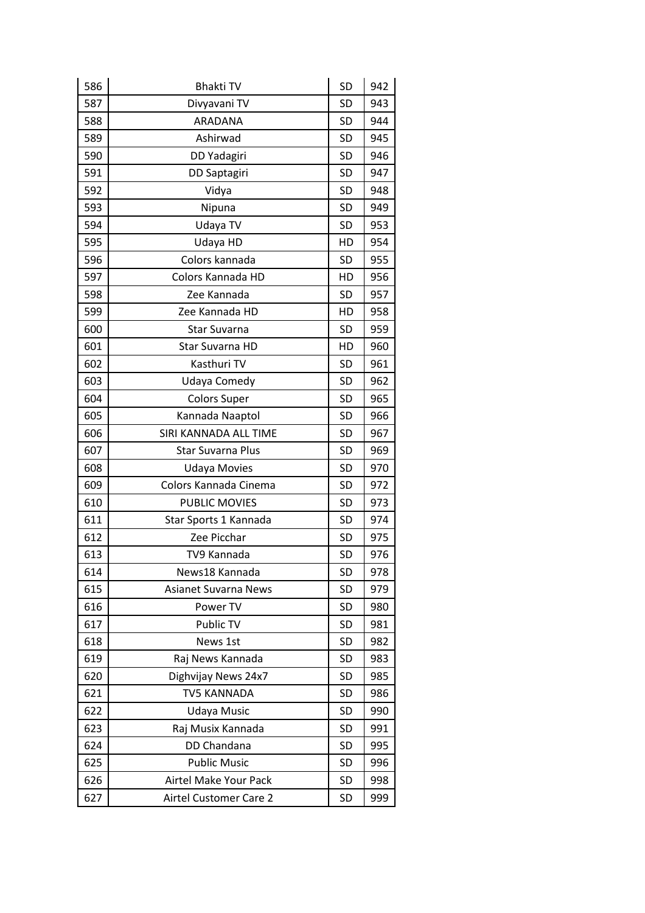| 586 | <b>Bhakti TV</b>            | SD        | 942 |
|-----|-----------------------------|-----------|-----|
| 587 | Divyavani TV                | <b>SD</b> | 943 |
| 588 | ARADANA                     | <b>SD</b> | 944 |
| 589 | Ashirwad                    | <b>SD</b> | 945 |
| 590 | DD Yadagiri                 | <b>SD</b> | 946 |
| 591 | DD Saptagiri                | <b>SD</b> | 947 |
| 592 | Vidya                       | <b>SD</b> | 948 |
| 593 | Nipuna                      | <b>SD</b> | 949 |
| 594 | Udaya TV                    | <b>SD</b> | 953 |
| 595 | Udaya HD                    | HD        | 954 |
| 596 | Colors kannada              | <b>SD</b> | 955 |
| 597 | Colors Kannada HD           | HD        | 956 |
| 598 | Zee Kannada                 | <b>SD</b> | 957 |
| 599 | Zee Kannada HD              | HD        | 958 |
| 600 | <b>Star Suvarna</b>         | <b>SD</b> | 959 |
| 601 | Star Suvarna HD             | HD        | 960 |
| 602 | Kasthuri TV                 | SD        | 961 |
| 603 | Udaya Comedy                | <b>SD</b> | 962 |
| 604 | <b>Colors Super</b>         | <b>SD</b> | 965 |
| 605 | Kannada Naaptol             | <b>SD</b> | 966 |
| 606 | SIRI KANNADA ALL TIME       | <b>SD</b> | 967 |
| 607 | Star Suvarna Plus           | <b>SD</b> | 969 |
| 608 | <b>Udaya Movies</b>         | <b>SD</b> | 970 |
| 609 | Colors Kannada Cinema       | <b>SD</b> | 972 |
| 610 | <b>PUBLIC MOVIES</b>        | <b>SD</b> | 973 |
| 611 | Star Sports 1 Kannada       | <b>SD</b> | 974 |
| 612 | Zee Picchar                 | <b>SD</b> | 975 |
| 613 | TV9 Kannada                 | <b>SD</b> | 976 |
| 614 | News18 Kannada              | <b>SD</b> | 978 |
| 615 | <b>Asianet Suvarna News</b> | SD        | 979 |
| 616 | Power TV                    | SD        | 980 |
| 617 | Public TV                   | SD        | 981 |
| 618 | News 1st                    | SD        | 982 |
| 619 | Raj News Kannada            | SD        | 983 |
| 620 | Dighvijay News 24x7         | SD        | 985 |
| 621 | <b>TV5 KANNADA</b>          | SD        | 986 |
| 622 | Udaya Music                 | SD        | 990 |
| 623 | Raj Musix Kannada           | SD        | 991 |
| 624 | DD Chandana                 | SD        | 995 |
| 625 | <b>Public Music</b>         | SD        | 996 |
| 626 | Airtel Make Your Pack       | SD        | 998 |
| 627 | Airtel Customer Care 2      | SD        | 999 |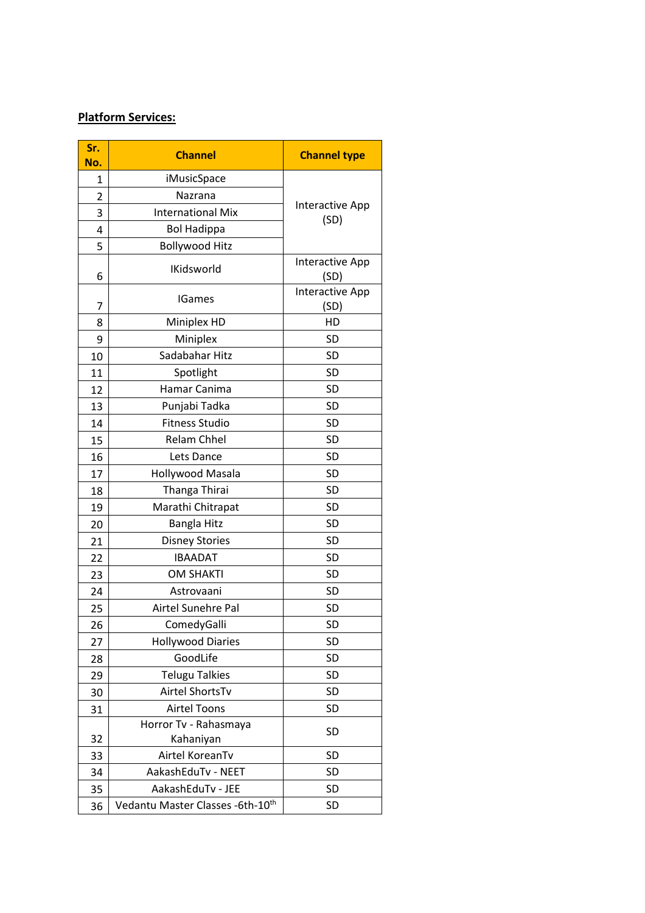# **Platform Services:**

| Sr.<br>No.     | <b>Channel</b>                     | <b>Channel type</b>     |
|----------------|------------------------------------|-------------------------|
| 1              | iMusicSpace                        |                         |
| $\overline{2}$ | Nazrana                            |                         |
| 3              | <b>International Mix</b>           | Interactive App         |
| 4              | <b>Bol Hadippa</b>                 | (SD)                    |
| 5              | <b>Bollywood Hitz</b>              |                         |
| 6              | <b>IKidsworld</b>                  | Interactive App<br>(SD) |
| 7              | <b>IGames</b>                      | Interactive App<br>(SD) |
| 8              | Miniplex HD                        | HD                      |
| 9              | Miniplex                           | <b>SD</b>               |
| 10             | Sadabahar Hitz                     | <b>SD</b>               |
| 11             | Spotlight                          | <b>SD</b>               |
| 12             | Hamar Canima                       | SD                      |
| 13             | Punjabi Tadka                      | SD                      |
| 14             | <b>Fitness Studio</b>              | <b>SD</b>               |
| 15             | <b>Relam Chhel</b>                 | <b>SD</b>               |
| 16             | Lets Dance                         | <b>SD</b>               |
| 17             | Hollywood Masala                   | <b>SD</b>               |
| 18             | Thanga Thirai                      | <b>SD</b>               |
| 19             | Marathi Chitrapat                  | SD                      |
| 20             | Bangla Hitz                        | <b>SD</b>               |
| 21             | <b>Disney Stories</b>              | <b>SD</b>               |
| 22             | <b>IBAADAT</b>                     | <b>SD</b>               |
| 23             | <b>OM SHAKTI</b>                   | <b>SD</b>               |
| 24             | Astrovaani                         | <b>SD</b>               |
| 25             | Airtel Sunehre Pal                 | <b>SD</b>               |
| 26             | ComedyGalli                        | SD                      |
| 27             | <b>Hollywood Diaries</b>           | SD                      |
| 28             | GoodLife                           | <b>SD</b>               |
| 29             | <b>Telugu Talkies</b>              | <b>SD</b>               |
| 30             | Airtel ShortsTv                    | <b>SD</b>               |
| 31             | <b>Airtel Toons</b>                | <b>SD</b>               |
| 32             | Horror Tv - Rahasmaya<br>Kahaniyan | <b>SD</b>               |
| 33             | Airtel KoreanTv                    | <b>SD</b>               |
| 34             | AakashEduTv - NEET                 | SD                      |
| 35             | AakashEduTv - JEE                  | SD                      |
| 36             | Vedantu Master Classes - 6th-10th  | SD                      |